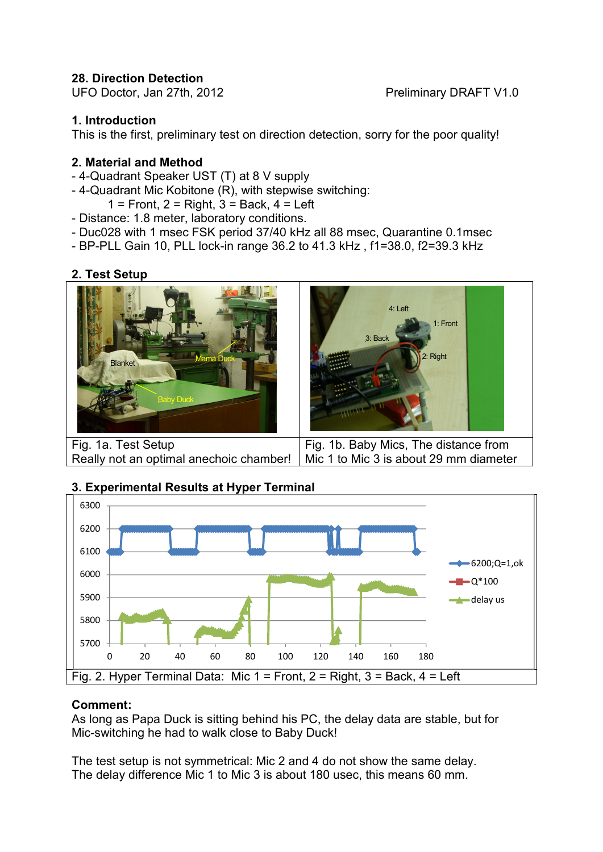### **28. Direction Detection**

UFO Doctor, Jan 27th, 2012 **Preliminary DRAFT V1.0** 

### **1. Introduction**

This is the first, preliminary test on direction detection, sorry for the poor quality!

### **2. Material and Method**

- 4-Quadrant Speaker UST (T) at 8 V supply
- 4-Quadrant Mic Kobitone (R), with stepwise switching:
	- $1 =$  Front,  $2 =$  Right,  $3 =$  Back,  $4 =$  Left
- Distance: 1.8 meter, laboratory conditions.
- Duc028 with 1 msec FSK period 37/40 kHz all 88 msec, Quarantine 0.1msec
- BP-PLL Gain 10, PLL lock-in range 36.2 to 41.3 kHz , f1=38.0, f2=39.3 kHz

### **2. Test Setup**



# Really not an optimal anechoic chamber!

Fig. 1b. Baby Mics, The distance from Mic 1 to Mic 3 is about 29 mm diameter



## **3. Experimental Results at Hyper Terminal**

### **Comment:**

As long as Papa Duck is sitting behind his PC, the delay data are stable, but for Mic-switching he had to walk close to Baby Duck!

The test setup is not symmetrical: Mic 2 and 4 do not show the same delay. The delay difference Mic 1 to Mic 3 is about 180 usec, this means 60 mm.